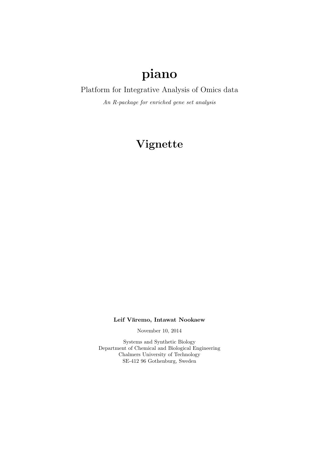# piano

Platform for Integrative Analysis of Omics data

An R-package for enriched gene set analysis

# Vignette

Leif Väremo, Intawat Nookaew

November 10, 2014

Systems and Synthetic Biology Department of Chemical and Biological Engineering Chalmers University of Technology SE-412 96 Gothenburg, Sweden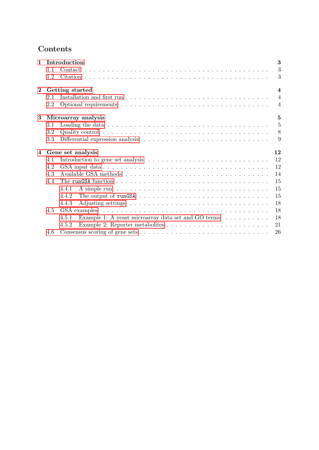# Contents

| $\mathbf{1}$ |     | Introduction                                                                                       | 3                |  |  |  |
|--------------|-----|----------------------------------------------------------------------------------------------------|------------------|--|--|--|
|              | 1.1 |                                                                                                    | 3                |  |  |  |
|              | 1.2 |                                                                                                    | 3                |  |  |  |
| $\mathbf{2}$ |     | Getting started                                                                                    | $\boldsymbol{4}$ |  |  |  |
|              | 2.1 |                                                                                                    | $\overline{4}$   |  |  |  |
|              | 2.2 |                                                                                                    | $\overline{4}$   |  |  |  |
| 3            |     | $\overline{5}$<br>Microarray analysis                                                              |                  |  |  |  |
|              | 3.1 |                                                                                                    | $\overline{5}$   |  |  |  |
|              | 3.2 |                                                                                                    | 8                |  |  |  |
|              | 3.3 |                                                                                                    | 9                |  |  |  |
| 4            |     | Gene set analysis                                                                                  | 12               |  |  |  |
|              | 4.1 | Introduction to gene set analysis $\ldots \ldots \ldots \ldots \ldots \ldots \ldots \ldots \ldots$ | 12               |  |  |  |
|              | 4.2 |                                                                                                    | 12               |  |  |  |
|              | 4.3 |                                                                                                    | 14               |  |  |  |
|              | 4.4 |                                                                                                    | 15               |  |  |  |
|              |     | 4.4.1                                                                                              | 15               |  |  |  |
|              |     | 4.4.2                                                                                              | 15               |  |  |  |
|              |     | 4.4.3                                                                                              | 18               |  |  |  |
|              | 4.5 |                                                                                                    | 18               |  |  |  |
|              |     | 4.5.1<br>Example 1: A yeast microarray data set and GO terms                                       | 18               |  |  |  |
|              |     | 4.5.2                                                                                              | 21               |  |  |  |
|              | 4.6 |                                                                                                    | 26               |  |  |  |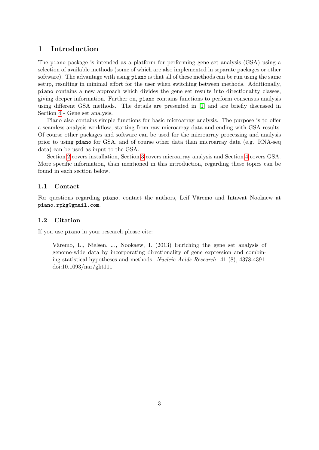# <span id="page-2-0"></span>1 Introduction

The piano package is intended as a platform for performing gene set analysis (GSA) using a selection of available methods (some of which are also implemented in separate packages or other software). The advantage with using piano is that all of these methods can be run using the same setup, resulting in minimal effort for the user when switching between methods. Additionally, piano contains a new approach which divides the gene set results into directionality classes, giving deeper information. Further on, piano contains functions to perform consensus analysis using different GSA methods. The details are presented in [\[1\]](#page-28-0) and are briefly discussed in Section [4](#page-11-0) - Gene set analysis.

Piano also contains simple functions for basic microarray analysis. The purpose is to offer a seamless analysis workflow, starting from raw microarray data and ending with GSA results. Of course other packages and software can be used for the microarray processing and analysis prior to using piano for GSA, and of course other data than microarray data (e.g. RNA-seq data) can be used as input to the GSA.

Section [2](#page-3-0) covers installation, Section [3](#page-4-0) covers microarray analysis and Section [4](#page-11-0) covers GSA. More specific information, than mentioned in this introduction, regarding these topics can be found in each section below.

### <span id="page-2-1"></span>1.1 Contact

For questions regarding piano, contact the authors, Leif Väremo and Intawat Nookaew at piano.rpkg@gmail.com.

# <span id="page-2-2"></span>1.2 Citation

If you use piano in your research please cite:

Väremo, L., Nielsen, J., Nookaew, I. (2013) Enriching the gene set analysis of genome-wide data by incorporating directionality of gene expression and combining statistical hypotheses and methods. Nucleic Acids Research. 41 (8), 4378-4391. doi:10.1093/nar/gkt111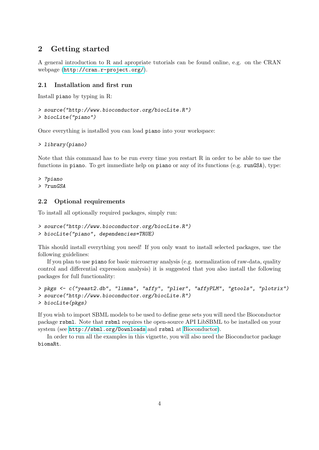# <span id="page-3-0"></span>2 Getting started

A general introduction to R and apropriate tutorials can be found online, e.g. on the CRAN webpage (<http://cran.r-project.org/>).

# <span id="page-3-1"></span>2.1 Installation and first run

Install piano by typing in R:

```
> source("http://www.bioconductor.org/biocLite.R")
> biocLite("piano")
```
Once everything is installed you can load piano into your workspace:

```
> library(piano)
```
Note that this command has to be run every time you restart R in order to be able to use the functions in piano. To get immediate help on piano or any of its functions (e.g. runGSA), type:

> ?piano > ?runGSA

# <span id="page-3-2"></span>2.2 Optional requirements

To install all optionally required packages, simply run:

```
> source("http://www.bioconductor.org/biocLite.R")
```

```
> biocLite("piano", dependencies=TRUE)
```
This should install everything you need! If you only want to install selected packages, use the following guidelines:

If you plan to use piano for basic microarray analysis (e.g. normalization of raw-data, quality control and differential expression analysis) it is suggested that you also install the following packages for full functionality:

```
> pkgs <- c("yeast2.db", "limma", "affy", "plier", "affyPLM", "gtools", "plotrix")
> source("http://www.bioconductor.org/biocLite.R")
> biocLite(pkgs)
```
If you wish to import SBML models to be used to define gene sets you will need the Bioconductor package rsbml. Note that rsbml requires the open-source API LibSBML to be installed on your system (see <http://sbml.org/Downloads> and rsbml at [Bioconductor\)](http://bioconductor.org).

In order to run all the examples in this vignette, you will also need the Bioconductor package biomaRt.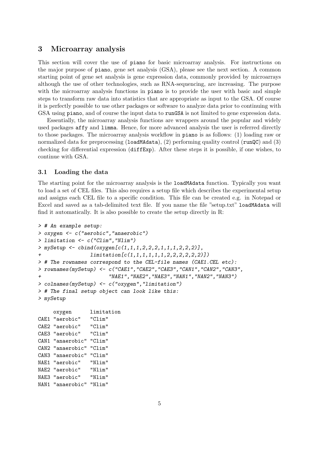# <span id="page-4-0"></span>3 Microarray analysis

This section will cover the use of piano for basic microarray analysis. For instructions on the major purpose of piano, gene set analysis (GSA), please see the next section. A common starting point of gene set analysis is gene expression data, commonly provided by microarrays although the use of other technologies, such as RNA-sequencing, are increasing. The purpose with the microarray analysis functions in piano is to provide the user with basic and simple steps to transform raw data into statistics that are appropriate as input to the GSA. Of course it is perfectly possible to use other packages or software to analyze data prior to continuing with GSA using piano, and of course the input data to runGSA is not limited to gene expression data.

Essentially, the microarray analysis functions are wrappers around the popular and widely used packages affy and limma. Hence, for more advanced analysis the user is referred directly to those packages. The microarray analysis workflow in piano is as follows: (1) loading raw or normalized data for preprocessing (loadMAdata), (2) performing quality control (runQC) and (3) checking for differential expression (diffExp). After these steps it is possible, if one wishes, to continue with GSA.

#### <span id="page-4-1"></span>3.1 Loading the data

NAE3 "aerobic" "Nlim" NAN1 "anaerobic" "Nlim"

The starting point for the microarray analysis is the loadMAdata function. Typically you want to load a set of CEL files. This also requires a setup file which describes the experimental setup and assigns each CEL file to a specific condition. This file can be created e.g. in Notepad or Excel and saved as a tab-delimited text file. If you name the file "setup.txt" loadMAdata will find it automatically. It is also possible to create the setup directly in R:

```
> # An example setup:
> oxygen <- c("aerobic","anaerobic")
> limitation <- c("Clim","Nlim")
> mySetup <- cbind(oxygen[c(1,1,1,2,2,2,1,1,1,2,2,2)],
+ limitation[c(1,1,1,1,1,1,2,2,2,2,2,2)])
> # The rownames correspond to the CEL-file names (CAE1.CEL etc):
> rownames(mySetup) <- c("CAE1","CAE2","CAE3","CAN1","CAN2","CAN3",
+ "NAE1","NAE2","NAE3","NAN1","NAN2","NAN3")
> colnames(mySetup) <- c("oxygen","limitation")
> # The final setup object can look like this:
> mySetup
    oxygen limitation
CAE1 "aerobic" "Clim"
CAE2 "aerobic" "Clim"
CAE3 "aerobic" "Clim"
CAN1 "anaerobic" "Clim"
CAN2 "anaerobic" "Clim"
CAN3 "anaerobic" "Clim"
NAE1 "aerobic" "Nlim"
NAE2 "aerobic" "Nlim"
```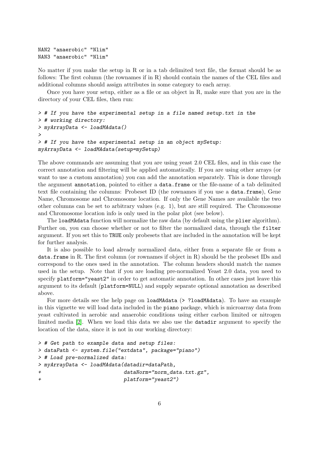```
NAN2 "anaerobic" "Nlim"
NAN3 "anaerobic" "Nlim"
```
No matter if you make the setup in R or in a tab delimited text file, the format should be as follows: The first column (the rownames if in R) should contain the names of the CEL files and additional columns should assign attributes in some category to each array.

Once you have your setup, either as a file or an object in R, make sure that you are in the directory of your CEL files, then run:

```
> # If you have the experimental setup in a file named setup.txt in the
> # working directory:
> myArrayData <- loadMAdata()
>
> # If you have the experimental setup in an object mySetup:
myArrayData <- loadMAdata(setup=mySetup)
```
The above commands are assuming that you are using yeast 2.0 CEL files, and in this case the correct annotation and filtering will be applied automatically. If you are using other arrays (or want to use a custom annotation) you can add the annotation separately. This is done through the argument annotation, pointed to either a data.frame or the file-name of a tab delimited text file containing the columns: Probeset ID (the rownames if you use a data.frame), Gene Name, Chromosome and Chromosome location. If only the Gene Names are available the two other columns can be set to arbitrary values (e.g. 1), but are still required. The Chromosome and Chromosome location info is only used in the polar plot (see below).

The loadMAdata function will normalize the raw data (by default using the plier algorithm). Further on, you can choose whether or not to filter the normalized data, through the filter argument. If you set this to TRUE only probesets that are included in the annotation will be kept for further analysis.

It is also possible to load already normalized data, either from a separate file or from a data.frame in R. The first column (or rownames if object in R) should be the probeset IDs and correspond to the ones used in the annotation. The column headers should match the names used in the setup. Note that if you are loading pre-normalized Yeast 2.0 data, you need to specify platform="yeast2" in order to get automatic annotation. In other cases just leave this argument to its default (platform=NULL) and supply separate optional annotation as described above.

For more details see the help page on loadMAdata (> ?loadMAdata). To have an example in this vignette we will load data included in the piano package, which is microarray data from yeast cultivated in aerobic and anaerobic conditions using either carbon limited or nitrogen limited media [\[2\]](#page-28-1). When we load this data we also use the datadir argument to specify the location of the data, since it is not in our working directory:

```
> # Get path to example data and setup files:
> dataPath <- system.file("extdata", package="piano")
> # Load pre-normalized data:
> myArrayData <- loadMAdata(datadir=dataPath,
+ dataNorm="norm_data.txt.gz",
+ platform="yeast2")
```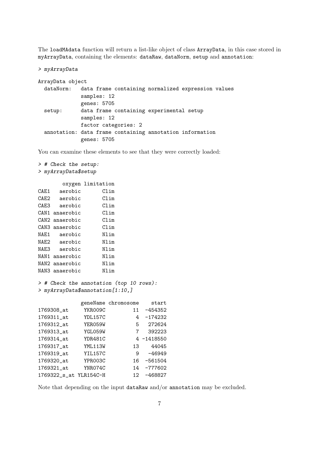The loadMAdata function will return a list-like object of class ArrayData, in this case stored in myArrayData, containing the elements: dataRaw, dataNorm, setup and annotation:

```
> myArrayData
```

```
ArrayData object
```

| dataNorm: | data frame containing normalized expression values       |
|-----------|----------------------------------------------------------|
|           | samples: 12                                              |
|           | genes: 5705                                              |
| setup:    | data frame containing experimental setup                 |
|           | samples: 12                                              |
|           | factor categories: 2                                     |
|           | annotation: data frame containing annotation information |
|           | genes: 5705                                              |

You can examine these elements to see that they were correctly loaded:

# > # Check the setup: > myArrayData\$setup

|       |                | oxygen limitation |
|-------|----------------|-------------------|
| CAE1  | aerobic        | C1im              |
| CAE2  | aerobic        | Clim              |
| CAE3  | aerobic        | Clim              |
| CAN1. | anaerobic      | Clim              |
|       | CAN2 anaerobic | Clim              |
| CAN3  | anaerobic      | Clim              |
| NAF.1 | aerobic        | Nlim              |
| NAE2  | aerobic        | Nlim              |
| NAF.3 | aerobic        | Nlim              |
| NAN 1 | anaerobic      | Nlim              |
|       | NAN2 anaerobic | Nlim              |
| NAN3  | anaerobic      | Nlim              |

> # Check the annotation (top 10 rows): > myArrayData\$annotation[1:10,]

|                        |         | geneName chromosome | start      |
|------------------------|---------|---------------------|------------|
| 1769308_at             | YKR009C | 11                  | -454352    |
| 1769311_at             | YDL157C | 4                   | $-174232$  |
| 1769312_at             | YER059W | 5.                  | 272624     |
| 1769313_at             | YGL059W | 7                   | 392223     |
| 1769314_at             | YDR481C |                     | 4 -1418550 |
| 1769317_at             | YML113W | 13                  | 44045      |
| 1769319_at             | YIL157C | 9                   | $-46949$   |
| 1769320_at             | YPR003C | 16                  | $-561504$  |
| 1769321_at             | YNR074C | 14                  | $-777602$  |
| 1769322_s_at YLR154C-H |         | 12                  | $-468827$  |

Note that depending on the input dataRaw and/or annotation may be excluded.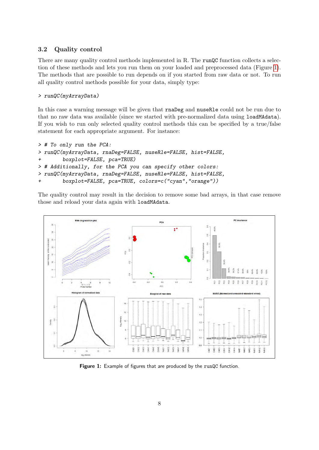# <span id="page-7-0"></span>3.2 Quality control

There are many quality control methods implemented in R. The runQC function collects a selection of these methods and lets you run them on your loaded and preprocessed data (Figure [1\)](#page-7-1). The methods that are possible to run depends on if you started from raw data or not. To run all quality control methods possible for your data, simply type:

### > runQC(myArrayData)

In this case a warning message will be given that rnaDeg and nuseRle could not be run due to that no raw data was available (since we started with pre-normalized data using loadMAdata). If you wish to run only selected quality control methods this can be specified by a true/false statement for each appropriate argument. For instance:

```
> # To only run the PCA:
> runQC(myArrayData, rnaDeg=FALSE, nuseRle=FALSE, hist=FALSE,
+ boxplot=FALSE, pca=TRUE)
> # Additionally, for the PCA you can specify other colors:
> runQC(myArrayData, rnaDeg=FALSE, nuseRle=FALSE, hist=FALSE,
+ boxplot=FALSE, pca=TRUE, colors=c("cyan","orange"))
```
The quality control may result in the decision to remove some bad arrays, in that case remove those and reload your data again with loadMAdata.

<span id="page-7-1"></span>

Figure 1: Example of figures that are produced by the runQC function.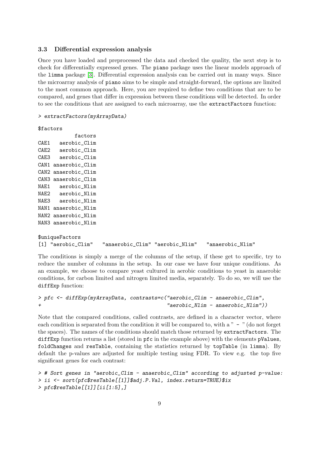#### <span id="page-8-0"></span>3.3 Differential expression analysis

Once you have loaded and preprocessed the data and checked the quality, the next step is to check for differentially expressed genes. The piano package uses the linear models approach of the limma package [\[3\]](#page-28-2). Differential expression analysis can be carried out in many ways. Since the microarray analysis of piano aims to be simple and straight-forward, the options are limited to the most common approach. Here, you are required to define two conditions that are to be compared, and genes that differ in expression between these conditions will be detected. In order to see the conditions that are assigned to each microarray, use the extractFactors function:

#### > extractFactors(myArrayData)

#### \$factors

factors CAE1 aerobic\_Clim CAE2 aerobic Clim CAE3 aerobic\_Clim CAN1 anaerobic\_Clim CAN2 anaerobic\_Clim CAN3 anaerobic\_Clim NAE1 aerobic\_Nlim NAE2 aerobic\_Nlim NAE3 aerobic\_Nlim NAN1 anaerobic\_Nlim NAN2 anaerobic\_Nlim NAN3 anaerobic\_Nlim

```
$uniqueFactors
[1] "aerobic_Clim" "anaerobic_Clim" "aerobic_Nlim" "anaerobic_Nlim"
```
The conditions is simply a merge of the columns of the setup, if these get to specific, try to reduce the number of columns in the setup. In our case we have four unique conditions. As an example, we choose to compare yeast cultured in aerobic conditions to yeast in anaerobic conditions, for carbon limited and nitrogen limited media, separately. To do so, we will use the diffExp function:

```
> pfc <- diffExp(myArrayData, contrasts=c("aerobic_Clim - anaerobic_Clim",
                                         "aerobic_Nlim - anaerobic_Nlim")
```
Note that the compared conditions, called contrasts, are defined in a character vector, where each condition is separated from the condition it will be compared to, with a " - " (do not forget the spaces). The names of the conditions should match those returned by extractFactors. The diffExp function returns a list (stored in pfc in the example above) with the elements pValues, foldChanges and resTable, containing the statistics returned by topTable (in limma). By default the p-values are adjusted for multiple testing using FDR. To view e.g. the top five significant genes for each contrast:

```
> # Sort genes in "aerobic_Clim - anaerobic_Clim" according to adjusted p-value:
> ii <- sort(pfc$resTable[[1]]$adj.P.Val, index.return=TRUE)$ix
> pfc$resTable[[1]][ii[1:5],]
```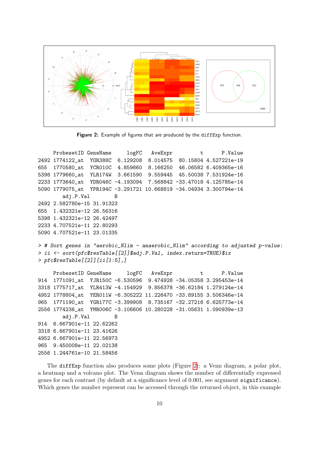<span id="page-9-0"></span>

Figure 2: Example of figures that are produced by the diffExp function.

```
ProbesetID GeneName logFC AveExpr t P.Value
2492 1774122_at YOR388C 6.129208 8.014575 80.15804 4.527221e-19
655 1770580_at YCR010C 4.859860 8.166250 46.06582 6.409365e-16
5398 1779660_at YLR174W 3.661590 9.559445 45.50038 7.531924e-16
2233 1773640_at YDR046C -4.193094 7.568842 -33.47018 4.125785e-14
5090 1779075_at YPR194C -3.291721 10.668819 -34.04934 3.300794e-14
       adj.P.Val B
2492 2.582780e-15 31.91323
655 1.432321e-12 26.56316
5398 1.432321e-12 26.42497
2233 4.707521e-11 22.80293
5090 4.707521e-11 23.01335
> # Sort genes in "aerobic_Nlim - anaerobic_Nlim" according to adjusted p-value:
> ii <- sort(pfc$resTable[[2]]$adj.P.Val, index.return=TRUE)$ix
> pfc$resTable[[2]][ii[1:5],]
     ProbesetID GeneName  logFC  AveExpr  t  P.Value
914 1771091_at YJR150C -6.530596 9.474928 -34.05358 3.295453e-14
3318 1775717_at YLR413W -4.154929 9.856378 -36.62184 1.279124e-14
4952 1778804_at YER011W -6.305222 11.226470 -33.89155 3.506346e-14
965 1771190_at YGR177C -3.399908 8.735167 -32.27216 6.625773e-14
2556 1774236_at YMR006C -3.106606 10.280228 -31.05631 1.090939e-13
       adj.P.Val B
914 6.667901e-11 22.62262
3318 6.667901e-11 23.41626
4952 6.667901e-11 22.56973
965 9.450008e-11 22.02138
2556 1.244761e-10 21.58456
```
The diffExp function also produces some plots (Figure [2\)](#page-9-0): a Venn diagram, a polar plot, a heatmap and a volcano plot. The Venn diagram shows the number of differentially expressed genes for each contrast (by default at a significance level of 0.001, see argument significance). Which genes the number represent can be accessed through the returned object, in this example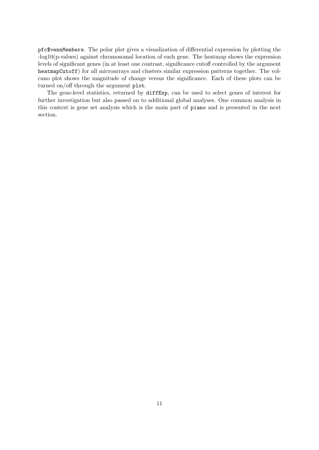pfc\$vennMembers. The polar plot gives a visualization of differential expression by plotting the -log10(p-values) against chromosomal location of each gene. The heatmap shows the expression levels of significant genes (in at least one contrast, significance cutoff controlled by the argument heatmapCutoff) for all microarrays and clusters similar expression patterns together. The volcano plot shows the magnitude of change versus the significance. Each of these plots can be turned on/off through the argument plot.

The gene-level statistics, returned by diffExp, can be used to select genes of interest for further investigation but also passed on to additional global analyses. One common analysis in this context is gene set analysis which is the main part of piano and is presented in the next section.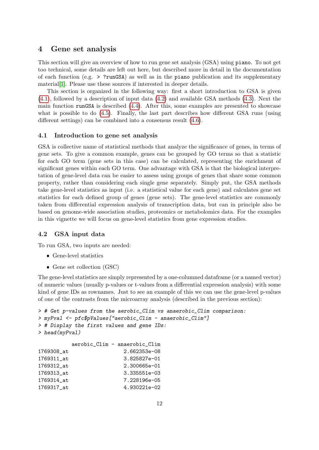# <span id="page-11-0"></span>4 Gene set analysis

This section will give an overview of how to run gene set analysis (GSA) using piano. To not get too technical, some details are left out here, but described more in detail in the documentation of each function (e.g.  $>$  ?runGSA) as well as in the piano publication and its supplementary material[\[1\]](#page-28-0). Please use these sources if interested in deeper details.

This section is organized in the following way: first a short introduction to GSA is given [\(4.1\)](#page-11-1), followed by a description of input data [\(4.2\)](#page-11-2) and available GSA methods [\(4.3\)](#page-13-0). Next the main function  $\text{runGSA}$  is described  $(4.4)$ . After this, some examples are presented to showcase what is possible to do [\(4.5\)](#page-17-1). Finally, the last part describes how different GSA runs (using different settings) can be combined into a consensus result [\(4.6\)](#page-25-0).

# <span id="page-11-1"></span>4.1 Introduction to gene set analysis

GSA is collective name of statistical methods that analyze the significance of genes, in terms of gene sets. To give a common example, genes can be grouped by GO terms so that a statistic for each GO term (gene sets in this case) can be calculated, representing the enrichment of significant genes within each GO term. One advantage with GSA is that the biological interpretation of gene-level data can be easier to assess using groups of genes that share some common property, rather than considering each single gene separately. Simply put, the GSA methods take gene-level statistics as input (i.e. a statistical value for each gene) and calculates gene set statistics for each defined group of genes (gene sets). The gene-level statistics are commonly taken from differential expression analysis of transcription data, but can in principle also be based on genome-wide association studies, proteomics or metabolomics data. For the examples in this vignette we will focus on gene-level statistics from gene expression studies.

#### <span id="page-11-2"></span>4.2 GSA input data

To run GSA, two inputs are needed:

- Gene-level statistics
- Gene set collection (GSC)

The gene-level statistics are simply represented by a one-columned dataframe (or a named vector) of numeric values (usually p-values or t-values from a differential expression analysis) with some kind of gene IDs as rownames. Just to see an example of this we can use the gene-level p-values of one of the contrasts from the microarray analysis (described in the previous section):

```
> # Get p-values from the aerobic_Clim vs anaerobic_Clim comparison:
> myPval <- pfc$pValues["aerobic_Clim - anaerobic_Clim"]
> # Display the first values and gene IDs:
> head(myPval)
        aerobic_Clim - anaerobic_Clim
1769308_at 2.662353e-08
1769311_at 3.825827e-01
1769312_at 2.300665e-01
1769313_at 3.335551e-03
1769314_at 7.228196e-05
1769317_at 4.930221e-02
```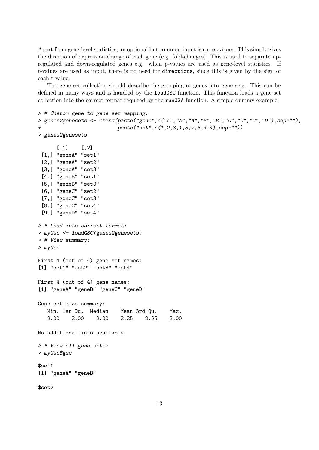Apart from gene-level statistics, an optional but common input is directions. This simply gives the direction of expression change of each gene (e.g. fold-changes). This is used to separate upregulated and down-regulated genes e.g. when p-values are used as gene-level statistics. If t-values are used as input, there is no need for directions, since this is given by the sign of each t-value.

The gene set collection should describe the grouping of genes into gene sets. This can be defined in many ways and is handled by the loadGSC function. This function loads a gene set collection into the correct format required by the runGSA function. A simple dummy example:

```
> # Custom gene to gene set mapping:
> genes2genesets <- cbind(paste("gene",c("A","A","A","B","B","C","C","C","D"),sep=""),
+ paste("set",c(1,2,3,1,3,2,3,4,4),sep=""))
> genes2genesets
      [,1] [,2][1,] "geneA" "set1"
 [2,] "geneA" "set2"
 [3,] "geneA" "set3"
 [4,] "geneB" "set1"
 [5,] "geneB" "set3"
 [6,] "geneC" "set2"
 [7,] "geneC" "set3"
 [8,] "geneC" "set4"
 [9,] "geneD" "set4"
> # Load into correct format:
> myGsc <- loadGSC(genes2genesets)
> # View summary:
> myGsc
First 4 (out of 4) gene set names:
[1] "set1" "set2" "set3" "set4"
First 4 (out of 4) gene names:
[1] "geneA" "geneB" "geneC" "geneD"
Gene set size summary:
   Min. 1st Qu. Median Mean 3rd Qu. Max.
   2.00 2.00 2.00 2.25 2.25 3.00
No additional info available.
> # View all gene sets:
> myGsc$gsc
$set1
[1] "geneA" "geneB"
```

```
$set2
```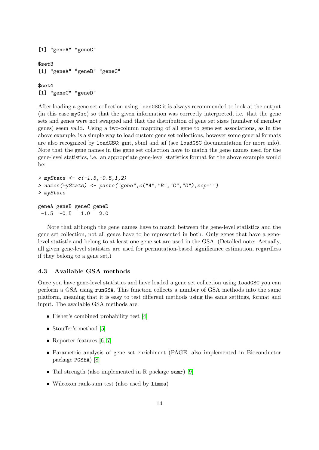```
[1] "geneA" "geneC"
$set3
[1] "geneA" "geneB" "geneC"
```

```
$set4
[1] "geneC" "geneD"
```
After loading a gene set collection using loadGSC it is always recommended to look at the output (in this case myGsc) so that the given information was correctly interpreted, i.e. that the gene sets and genes were not swapped and that the distribution of gene set sizes (number of member genes) seem valid. Using a two-column mapping of all gene to gene set associations, as in the above example, is a simple way to load custom gene set collections, however some general formats are also recognized by loadGSC: gmt, sbml and sif (see loadGSC documentation for more info). Note that the gene names in the gene set collection have to match the gene names used for the gene-level statistics, i.e. an appropriate gene-level statistics format for the above example would be:

```
> myStats <- c(-1.5, -0.5, 1, 2)> names(myStats) <- paste("gene",c("A","B","C","D"),sep="")
> myStats
```
# geneA geneB geneC geneD  $-1.5$   $-0.5$  1.0 2.0

Note that although the gene names have to match between the gene-level statistics and the gene set collection, not all genes have to be represented in both. Only genes that have a genelevel statistic and belong to at least one gene set are used in the GSA. (Detailed note: Actually, all given gene-level statistics are used for permutation-based significance estimation, regardless if they belong to a gene set.)

# <span id="page-13-0"></span>4.3 Available GSA methods

Once you have gene-level statistics and have loaded a gene set collection using loadGSC you can perform a GSA using runGSA. This function collects a number of GSA methods into the same platform, meaning that it is easy to test different methods using the same settings, format and input. The available GSA methods are:

- Fisher's combined probability test [\[4\]](#page-28-3)
- Stouffer's method [\[5\]](#page-28-4)
- Reporter features  $[6, 7]$  $[6, 7]$
- Parametric analysis of gene set enrichment (PAGE, also implemented in Bioconductor package PGSEA) [\[8\]](#page-28-7)
- Tail strength (also implemented in R package samr) [\[9\]](#page-28-8)
- Wilcoxon rank-sum test (also used by limma)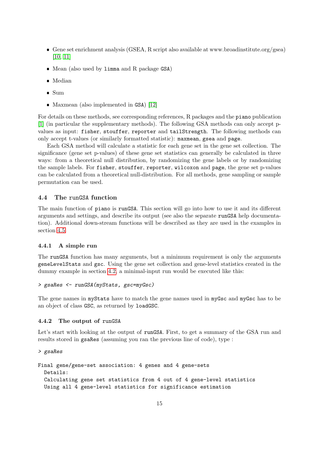- Gene set enrichment analysis (GSEA, R script also available at www.broadinstitute.org/gsea) [\[10,](#page-28-9) [11\]](#page-28-10)
- Mean (also used by limma and R package GSA)
- Median
- $\bullet$  Sum
- Maxmean (also implemented in GSA) [\[12\]](#page-28-11)

For details on these methods, see corresponding references, R packages and the piano publication [\[1\]](#page-28-0) (in particular the supplementary methods). The following GSA methods can only accept pvalues as input: fisher, stouffer, reporter and tailStrength. The following methods can only accept t-values (or similarly formatted statistic): maxmean, gsea and page.

Each GSA method will calculate a statistic for each gene set in the gene set collection. The significance (gene set p-values) of these gene set statistics can generally be calculated in three ways: from a theoretical null distribution, by randomizing the gene labels or by randomizing the sample labels. For fisher, stouffer, reporter, wilcoxon and page, the gene set p-values can be calculated from a theoretical null-distribution. For all methods, gene sampling or sample permutation can be used.

# <span id="page-14-0"></span>4.4 The runGSA function

The main function of piano is runGSA. This section will go into how to use it and its different arguments and settings, and describe its output (see also the separate runGSA help documentation). Additional down-stream functions will be described as they are used in the examples in section [4.5.](#page-17-1)

#### <span id="page-14-1"></span>4.4.1 A simple run

The runGSA function has many arguments, but a minimum requirement is only the arguments geneLevelStats and gsc. Using the gene set collection and gene-level statistics created in the dummy example in section [4.2,](#page-11-2) a minimal-input run would be executed like this:

```
> gsaRes <- runGSA(myStats, gsc=myGsc)
```
The gene names in myStats have to match the gene names used in myGsc and myGsc has to be an object of class GSC, as returned by loadGSC.

### <span id="page-14-2"></span>4.4.2 The output of runGSA

Let's start with looking at the output of runGSA. First, to get a summary of the GSA run and results stored in gsaRes (assuming you ran the previous line of code), type :

#### > gsaRes

```
Final gene/gene-set association: 4 genes and 4 gene-sets
  Details:
  Calculating gene set statistics from 4 out of 4 gene-level statistics
  Using all 4 gene-level statistics for significance estimation
```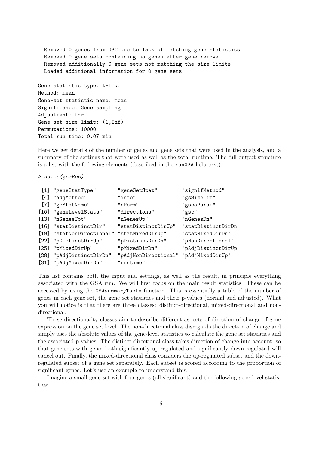Removed 0 genes from GSC due to lack of matching gene statistics Removed 0 gene sets containing no genes after gene removal Removed additionally 0 gene sets not matching the size limits Loaded additional information for 0 gene sets

Gene statistic type: t-like Method: mean Gene-set statistic name: mean Significance: Gene sampling Adjustment: fdr Gene set size limit: (1,Inf) Permutations: 10000 Total run time: 0.07 min

Here we get details of the number of genes and gene sets that were used in the analysis, and a summary of the settings that were used as well as the total runtime. The full output structure is a list with the following elements (described in the runGSA help text):

> names(gsaRes)

| [1] "geneStatType"                         | "geneSetStat"                         | "signifMethod"      |
|--------------------------------------------|---------------------------------------|---------------------|
| [4] "adjMethod"                            | "info"                                | "gsSizeLim"         |
| [7] "gsStatName"                           | "nPerm"                               | "gseaParam"         |
| [10] "geneLevelStats"                      | "directions"                          | "gsc"               |
| [13] "nGenesTot"                           | "nGenesUp"                            | "nGenesDn"          |
| [16] "statDistinctDir"                     | "statDistinctDirUp"                   | "statDistinctDirDn" |
| [19] "statNonDirectional" "statMixedDirUp" |                                       | "statMixedDirDn"    |
| [22] "pDistinctDirUp"                      | "pDistinctDirDn"                      | "pNonDirectional"   |
| [25] "pMixedDirUp"                         | "pMixedDirDn"                         | "pAdjDistinctDirUp" |
| [28] "pAdjDistinctDirDn"                   | "pAdjNonDirectional" "pAdjMixedDirUp" |                     |
| [31] "pAdjMixedDirDn"                      | "runtime"                             |                     |

This list contains both the input and settings, as well as the result, in principle everything associated with the GSA run. We will first focus on the main result statistics. These can be accessed by using the GSAsummaryTable function. This is essentially a table of the number of genes in each gene set, the gene set statistics and their p-values (normal and adjusted). What you will notice is that there are three classes: distinct-directional, mixed-directional and nondirectional.

These directionality classes aim to describe different aspects of direction of change of gene expression on the gene set level. The non-directional class disregards the direction of change and simply uses the absolute values of the gene-level statistics to calculate the gene set statistics and the associated p-values. The distinct-directional class takes direction of change into account, so that gene sets with genes both significantly up-regulated and significantly down-regulated will cancel out. Finally, the mixed-directional class considers the up-regulated subset and the downregulated subset of a gene set separately. Each subset is scored according to the proportion of significant genes. Let's use an example to understand this.

Imagine a small gene set with four genes (all significant) and the following gene-level statistics: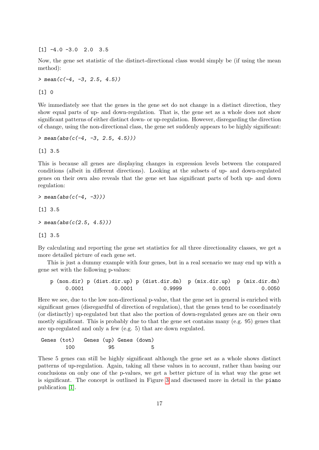$[1]$  -4.0 -3.0 2.0 3.5

Now, the gene set statistic of the distinct-directional class would simply be (if using the mean method):

 $>$  mean(c(-4, -3, 2.5, 4.5))

[1] 0

We immediately see that the genes in the gene set do not change in a distinct direction, they show equal parts of up- and down-regulation. That is, the gene set as a whole does not show significant patterns of either distinct down- or up-regulation. However, disregarding the direction of change, using the non-directional class, the gene set suddenly appears to be highly significant:

```
> mean(abs(c(-4, -3, 2.5, 4.5)))
```
[1] 3.5

This is because all genes are displaying changes in expression levels between the compared conditions (albeit in different directions). Looking at the subsets of up- and down-regulated genes on their own also reveals that the gene set has significant parts of both up- and down regulation:

 $>$  mean(abs(c(-4, -3)))

[1] 3.5

```
> mean(abs(c(2.5, 4.5)))
```
[1] 3.5

By calculating and reporting the gene set statistics for all three directionality classes, we get a more detailed picture of each gene set.

This is just a dummy example with four genes, but in a real scenario we may end up with a gene set with the following p-values:

p (non.dir) p (dist.dir.up) p (dist.dir.dn) p (mix.dir.up) p (mix.dir.dn) 0.0001 0.0001 0.9999 0.0001 0.0050

Here we see, due to the low non-directional p-value, that the gene set in general is enriched with significant genes (disregardful of direction of regulation), that the genes tend to be coordinately (or distinctly) up-regulated but that also the portion of down-regulated genes are on their own mostly significant. This is probably due to that the gene set contains many (e.g. 95) genes that are up-regulated and only a few (e.g. 5) that are down regulated.

Genes (tot) Genes (up) Genes (down) 100 95 5

These 5 genes can still be highly significant although the gene set as a whole shows distinct patterns of up-regulation. Again, taking all these values in to account, rather than basing our conclusions on only one of the p-values, we get a better picture of in what way the gene set is significant. The concept is outlined in Figure [3](#page-17-3) and discussed more in detail in the piano publication [\[1\]](#page-28-0).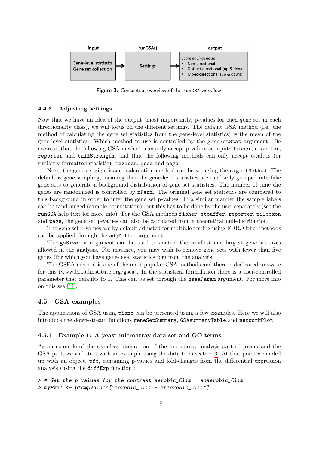<span id="page-17-3"></span>

Figure 3: Conceptual overview of the runGSA workflow.

#### <span id="page-17-0"></span>4.4.3 Adjusting settings

Now that we have an idea of the output (most importantly, p-values for each gene set in each directionality class), we will focus on the different settings. The default GSA method (i.e. the method of calculating the gene set statistics from the gene-level statistics) is the mean of the gene-level statistics. Which method to use is controlled by the geneSetStat argument. Be aware of that the following GSA methods can only accept p-values as input: fisher, stouffer, reporter and tailStrength, and that the following methods can only accept t-values (or similarly formatted statistic): maxmean, gsea and page.

Next, the gene set significance calculation method can be set using the signifMethod. The default is gene sampling, meaning that the gene-level statistics are randomly grouped into fake gene sets to generate a background distribution of gene set statistics. The number of time the genes are randomized is controlled by nPerm. The original gene set statistics are compared to this background in order to infer the gene set p-values. In a similar manner the sample labels can be randomized (sample permutation), but this has to be done by the user separately (see the runGSA help text for more info). For the GSA methods fisher, stouffer, reporter, wilcoxon and page, the gene set p-values can also be calculated from a theoretical null-distribution.

The gene set p-values are by default adjusted for multiple testing using FDR. Other methods can be applied through the adjMethod argument.

The gsSizeLim argument can be used to control the smallest and largest gene set sizes allowed in the analysis. For instance, you may wish to remove gene sets with fewer than five genes (for which you have gene-level statistics for) from the analysis.

The GSEA method is one of the most popular GSA methods and there is dedicated software for this (www.broadinstitute.org/gsea). In the statistical formulation there is a user-controlled parameter that defaults to 1. This can be set through the gseaParam argument. For more info on this see [\[11\]](#page-28-10).

#### <span id="page-17-1"></span>4.5 GSA examples

The applications of GSA using piano can be presented using a few examples. Here we will also introduce the down-stream functions geneSetSummary, GSAsummaryTable and networkPlot.

#### <span id="page-17-2"></span>4.5.1 Example 1: A yeast microarray data set and GO terms

As an example of the seamless integration of the microarray analysis part of piano and the GSA part, we will start with an example using the data from section [3.](#page-4-0) At that point we ended up with an object, pfc, containing p-values and fold-changes from the differential expression analysis (using the diffExp function):

```
> # Get the p-values for the contrast aerobic_Clim - anaerobic_Clim
> myPval <- pfc$pValues["aerobic_Clim - anaerobic_Clim"]
```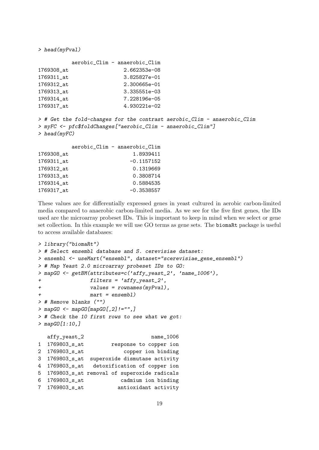> head(myPval)

|            | aerobic_Clim - anaerobic_Clim                                                                                                                             |  |  |  |  |
|------------|-----------------------------------------------------------------------------------------------------------------------------------------------------------|--|--|--|--|
| 1769308_at | 2.662353e-08                                                                                                                                              |  |  |  |  |
| 1769311_at | 3.825827e-01                                                                                                                                              |  |  |  |  |
| 1769312_at | 2.300665e-01                                                                                                                                              |  |  |  |  |
| 1769313_at | $3.335551e-03$                                                                                                                                            |  |  |  |  |
| 1769314_at | 7.228196e-05                                                                                                                                              |  |  |  |  |
| 1769317_at | 4.930221e-02                                                                                                                                              |  |  |  |  |
|            | > # Get the fold-changes for the contrast aerobic_Clim - anaerobic_Clim<br>> myFC <- pfc\$foldChanges["aerobic_Clim - anaerobic_Clim"]<br>$>$ head (myFC) |  |  |  |  |
|            | aerobic_Clim - anaerobic_Clim                                                                                                                             |  |  |  |  |
|            |                                                                                                                                                           |  |  |  |  |
| 1769308_at | 1.8939411                                                                                                                                                 |  |  |  |  |
| 1769311_at | $-0.1157152$                                                                                                                                              |  |  |  |  |
| 1769312_at | 0.1319669                                                                                                                                                 |  |  |  |  |
| 1769313_at | 0.3808714                                                                                                                                                 |  |  |  |  |

1769317\_at -0.3538557

These values are for differentially expressed genes in yeast cultured in aerobic carbon-limited media compared to anaerobic carbon-limited media. As we see for the five first genes, the IDs used are the microarray probeset IDs. This is important to keep in mind when we select or gene set collection. In this example we will use GO terms as gene sets. The biomaRt package is useful to access available databases:

```
> library("biomaRt")
> # Select ensembl database and S. cerevisiae dataset:
> ensembl <- useMart("ensembl", dataset="scerevisiae_gene_ensembl")
> # Map Yeast 2.0 microarray probeset IDs to GO:
> mapGO <- getBM(attributes=c('affy_yeast_2', 'name_1006'),
+ filters = 'affy_yeast_2',
+ values = rownames(myPval),
+ mart = ensembl)
> # Remove blanks ("")
> mapGO <- mapGO [mapGO [, 2] ! = "",]
> # Check the 10 first rows to see what we got:
> mapGO[1:10,]
  affy_yeast_2 name_1006
1 1769803_s_at response to copper ion
2 1769803_s_at copper ion binding
3 1769803_s_at superoxide dismutase activity
4 1769803_s_at detoxification of copper ion
5 1769803_s_at removal of superoxide radicals
6 1769803_s_at cadmium ion binding
7 1769803_s_at antioxidant activity
```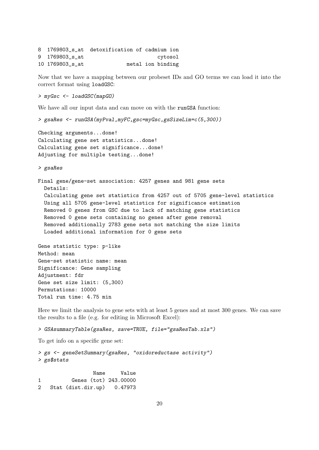8 1769803\_s\_at detoxification of cadmium ion 9 1769803\_s\_at cytosol 10 1769803\_s\_at metal ion binding

Now that we have a mapping between our probeset IDs and GO terms we can load it into the correct format using loadGSC:

> myGsc <- loadGSC(mapGO)

We have all our input data and can move on with the runGSA function:

> gsaRes <- runGSA(myPval,myFC,gsc=myGsc,gsSizeLim=c(5,300))

Checking arguments...done! Calculating gene set statistics...done! Calculating gene set significance...done! Adjusting for multiple testing...done!

> gsaRes

Final gene/gene-set association: 4257 genes and 981 gene sets Details: Calculating gene set statistics from 4257 out of 5705 gene-level statistics Using all 5705 gene-level statistics for significance estimation Removed 0 genes from GSC due to lack of matching gene statistics Removed 0 gene sets containing no genes after gene removal Removed additionally 2783 gene sets not matching the size limits Loaded additional information for 0 gene sets

```
Gene statistic type: p-like
Method: mean
Gene-set statistic name: mean
Significance: Gene sampling
Adjustment: fdr
Gene set size limit: (5,300)
Permutations: 10000
Total run time: 4.75 min
```
Here we limit the analysis to gene sets with at least 5 genes and at most 300 genes. We can save the results to a file (e.g. for editing in Microsoft Excel):

```
> GSAsummaryTable(gsaRes, save=TRUE, file="gsaResTab.xls")
```
To get info on a specific gene set:

```
> gs <- geneSetSummary(gsaRes, "oxidoreductase activity")
> gs$stats
```
Name Value 1 Genes (tot) 243.00000 2 Stat (dist.dir.up) 0.47973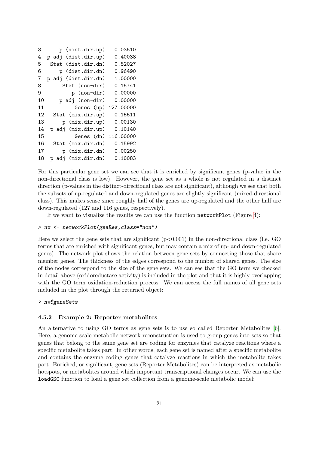| 3  | p (dist.dir.up)     | 0.03510              |         |
|----|---------------------|----------------------|---------|
| 4  | p adj (dist.dir.up) | 0.40038              |         |
| 5  | Stat                | (dist.dir.dn)        | 0.52027 |
| 6  |                     | p (dist.dir.dn)      | 0.96490 |
| 7  |                     | p adj (dist.dir.dn)  | 1.00000 |
| 8  |                     | Stat (non-dir)       | 0.15741 |
| 9  |                     | 0.00000              |         |
| 10 | p adj (non-dir)     |                      | 0.00000 |
| 11 |                     | Genes (up) 127.00000 |         |
| 12 |                     | Stat (mix.dir.up)    | 0.15511 |
| 13 |                     | p (mix.dir.up)       | 0.00130 |
| 14 |                     | p adj (mix.dir.up)   | 0.10140 |
| 15 |                     | Genes (dn) 116.00000 |         |
| 16 |                     | Stat (mix.dir.dn)    | 0.15992 |
| 17 | p                   | (min.dir.dn)         | 0.00250 |
| 18 |                     | p adj (mix.dir.dn)   | 0.10083 |

For this particular gene set we can see that it is enriched by significant genes (p-value in the non-directional class is low). However, the gene set as a whole is not regulated in a distinct direction (p-values in the distinct-directional class are not significant), although we see that both the subsets of up-regulated and down-regulated genes are slightly significant (mixed-directional class). This makes sense since roughly half of the genes are up-regulated and the other half are down-regulated (127 and 116 genes, respectively).

If we want to visualize the results we can use the function networkPlot (Figure [4\)](#page-21-0):

```
> nw <- networkPlot(gsaRes,class="non")
```
Here we select the gene sets that are significant  $(p<0.001)$  in the non-directional class (i.e. GO terms that are enriched with significant genes, but may contain a mix of up- and down-regulated genes). The network plot shows the relation between gene sets by connecting those that share member genes. The thickness of the edges correspond to the number of shared genes. The size of the nodes correspond to the size of the gene sets. We can see that the GO term we checked in detail above (oxidoreductase activity) is included in the plot and that it is highly overlapping with the GO term oxidation-reduction process. We can access the full names of all gene sets included in the plot through the returned object:

> nw\$geneSets

#### <span id="page-20-0"></span>4.5.2 Example 2: Reporter metabolites

An alternative to using GO terms as gene sets is to use so called Reporter Metabolites [\[6\]](#page-28-5). Here, a genome-scale metabolic network reconstruction is used to group genes into sets so that genes that belong to the same gene set are coding for enzymes that catalyze reactions where a specific metabolite takes part. In other words, each gene set is named after a specific metabolite and contains the enzyme coding genes that catalyze reactions in which the metabolite takes part. Enriched, or significant, gene sets (Reporter Metabolites) can be interpreted as metabolic hotspots, or metabolites around which important transcriptional changes occur. We can use the loadGSC function to load a gene set collection from a genome-scale metabolic model: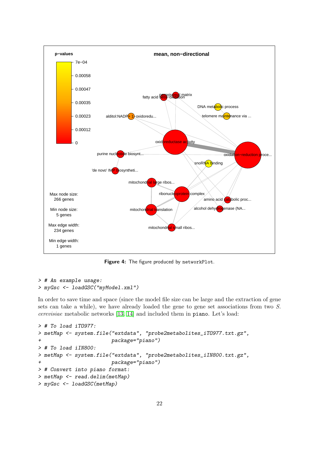<span id="page-21-0"></span>

Figure 4: The figure produced by networkPlot.

```
> # An example usage:
> myGsc <- loadGSC("myModel.xml")
```
In order to save time and space (since the model file size can be large and the extraction of gene sets can take a while), we have already loaded the gene to gene set associations from two S. cerevisiae metabolic networks [\[13,](#page-28-12) [14\]](#page-29-0) and included them in piano. Let's load:

```
> # To load iTO977:
> metMap <- system.file("extdata", "probe2metabolites_iTO977.txt.gz",
+ package="piano")
> # To load iIN800:
> metMap <- system.file("extdata", "probe2metabolites_iIN800.txt.gz",
+ package="piano")
> # Convert into piano format:
> metMap <- read.delim(metMap)
> myGsc <- loadGSC(metMap)
```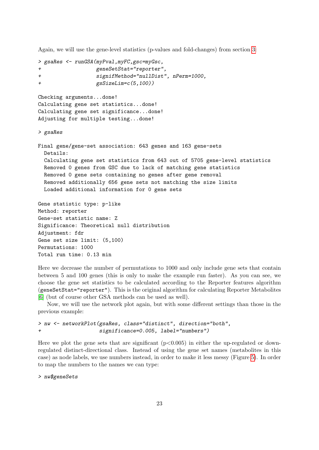Again, we will use the gene-level statistics (p-values and fold-changes) from section [3:](#page-4-0)

```
> gsaRes <- runGSA(myPval,myFC,gsc=myGsc,
                  + geneSetStat="reporter",
+ signifMethod="nullDist", nPerm=1000,
+ gsSizeLim=c(5,100))
Checking arguments...done!
Calculating gene set statistics...done!
Calculating gene set significance...done!
Adjusting for multiple testing...done!
> gsaRes
Final gene/gene-set association: 643 genes and 163 gene-sets
  Details:
  Calculating gene set statistics from 643 out of 5705 gene-level statistics
  Removed 0 genes from GSC due to lack of matching gene statistics
  Removed 0 gene sets containing no genes after gene removal
  Removed additionally 656 gene sets not matching the size limits
  Loaded additional information for 0 gene sets
Gene statistic type: p-like
Method: reporter
Gene-set statistic name: Z
Significance: Theoretical null distribution
Adjustment: fdr
Gene set size limit: (5,100)
Permutations: 1000
Total run time: 0.13 min
```
Here we decrease the number of permutations to 1000 and only include gene sets that contain between 5 and 100 genes (this is only to make the example run faster). As you can see, we choose the gene set statistics to be calculated according to the Reporter features algorithm (geneSetStat="reporter"). This is the original algorithm for calculating Reporter Metabolites [\[6\]](#page-28-5) (but of course other GSA methods can be used as well).

Now, we will use the network plot again, but with some different settings than those in the previous example:

```
> nw <- networkPlot(gsaRes, class="distinct", direction="both",
                    significance=0.005, label="numbers")
```
Here we plot the gene sets that are significant  $(p<0.005)$  in either the up-regulated or downregulated distinct-directional class. Instead of using the gene set names (metabolites in this case) as node labels, we use numbers instead, in order to make it less messy (Figure [5\)](#page-23-0). In order to map the numbers to the names we can type:

> nw\$geneSets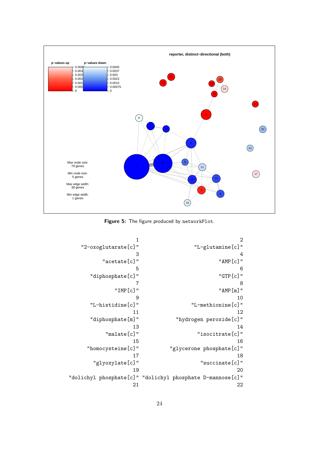<span id="page-23-0"></span>

Figure 5: The figure produced by networkPlot.

1 2 "2-oxoglutarate[c]" "L-glutamine[c]"  $3 \hspace{2.5cm} 4$ "acetate[c]" "AMP[c]"  $5\overline{6}$ "diphosphate[c]" "GTP[c]" 7 8 "IMP[c]" "AMP[m]" 9 10 "L-histidine[c]" "L-methionine[c]" 11 12 "diphosphate[m]" "hydrogen peroxide[c]" 13 14 "malate[c]" "isocitrate[c]" 15 16 "homocysteine[c]" "glycerone phosphate[c]" 17 18 "glyoxylate[c]" "succinate[c]" 19 20 "dolichyl phosphate[c]" "dolichyl phosphate D-mannose[c]" 21 22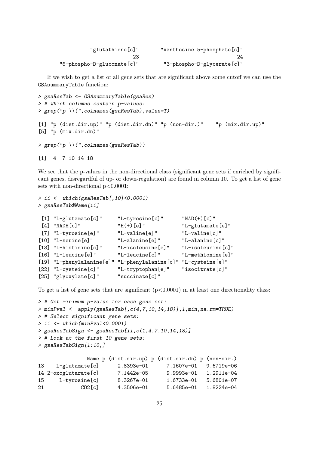| $"g$ lutathione $[c]$ "    | "xanthosine 5-phosphate[c]" |
|----------------------------|-----------------------------|
|                            | 24                          |
| "6-phospho-D-gluconate[c]" | "3-phospho-D-glycerate[c]"  |

If we wish to get a list of all gene sets that are significant above some cutoff we can use the GSAsummaryTable function:

```
> gsaResTab <- GSAsummaryTable(gsaRes)
> # Which columns contain p-values:
> grep("p \\(",colnames(gsaResTab),value=T)
[1] "p (dist.dir.up)" "p (dist.dir.dn)" "p (non-dir.)" "p (mix.dir.up)"
[5] "p (mix.dir.dn)"
> grep("p \\(",colnames(gsaResTab))
```
[1] 4 7 10 14 18

We see that the p-values in the non-directional class (significant gene sets if enriched by significant genes, disregardful of up- or down-regulation) are found in column 10. To get a list of gene sets with non-directional  $p<0.0001$ :

```
> ii <- which(gsaResTab[,10]<0.0001)
```

```
> gsaResTab$Name[ii]
```

| $[1]$ "L-glutamate $[c]$ "                                     | "L-tyrosine[c]"   | $"NAD(+) [c]"$    |
|----------------------------------------------------------------|-------------------|-------------------|
| $[4]$ "NADH $[c]$ "                                            | $H(+)$ [e]"       | "L-glutamate[e]"  |
| [7] "L-tyrosine[e]"                                            | "L-valine[e]"     | "L-valine[c]"     |
| $[10]$ "L-serine $[e]$ "                                       | "L-alanine[e]"    | "L-alanine[c]"    |
| [13] "L-histidine[c]"                                          | "L-isoleucine[e]" | "L-isoleucine[c]" |
| $[16]$ "L-leucine $[e]$ "                                      | "L-leucine[c]"    | "L-methionine[e]" |
| [19] "L-phenylalanine[e]" "L-phenylalanine[c]" "L-cysteine[e]" |                   |                   |
| [22] "L-cysteine[c]"                                           | "L-tryptophan[e]" | "isocitrate[c]"   |
| [25] "glyoxylate[c]"                                           | "succinate[c]"    |                   |

To get a list of gene sets that are significant  $(p<0.0001)$  in at least one directionality class:

```
> # Get minimum p-value for each gene set:
> minPval <- apply(gsaResTab[,c(4,7,10,14,18)],1,min,na.rm=TRUE)
> # Select significant gene sets:
> ii <- which(minPval<0.0001)
> gsaResTabSign \leq gsaResTab[ii,c(1, 4, 7, 10, 14, 18)]
> # Look at the first 10 gene sets:
> gsaResTabSign[1:10,]
              Name p (dist.dir.up) p (dist.dir.dn) p (non-dir.)
13 L-glutamate[c] 2.8393e-01 7.1607e-01 9.6719e-06
14 2-oxoglutarate[c] 7.1442e-05 9.9993e-01 1.2911e-04
15 L-tyrosine[c] 8.3267e-01 1.6733e-01 5.6801e-07
21 CO2[c] 4.3506e-01 5.6485e-01 1.8224e-04
```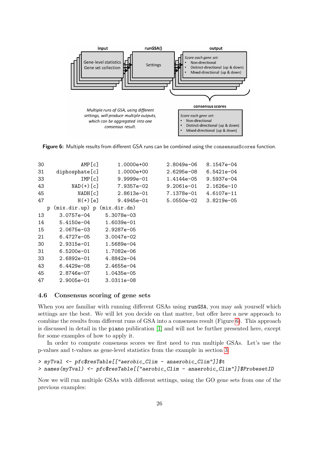<span id="page-25-1"></span>

Figure 6: Multiple results from different GSA runs can be combined using the consensusScores function.

| 30 | AMP [c]                              | 1.0000e+00   | $2.8049e - 06$ | 8.1547e-04   |
|----|--------------------------------------|--------------|----------------|--------------|
| 31 | diphosphate[c]                       | $1.0000e+00$ | 2.6295e-08     | 6.5421e-04   |
| 33 | IMP[c]                               | $9.9999e-01$ | 1.4144e-05     | 9.5937e-04   |
| 43 | $NAD(+)$ [c]                         | 7.9357e-02   | 9.2061e-01     | $2.1626e-10$ |
| 45 | NADH [c]                             | 2.8613e-01   | 7.1378e-01     | 4.6107e-11   |
| 47 | $H(+)$ [e]                           | 9.4945e-01   | 5.0550e-02     | 3.8219e-05   |
|    | $(mix.dir.up)$ p $(mix.dir.dn)$<br>р |              |                |              |
| 13 | 3.0757e-04 5.3078e-03                |              |                |              |
| 14 | 5.4150e-04                           | 1.6039e-01   |                |              |
| 15 | 2.0675e-03                           | 2.9287e-05   |                |              |
| 21 | 6.4727e-05                           | $3.0047e-02$ |                |              |
| 30 | 2.9315e-01                           | 1.5689e-04   |                |              |
| 31 | $6.5200e - 01$                       | 1.7082e-06   |                |              |
| 33 | $2.6892e-01$                         | 4.8842e-04   |                |              |
| 43 | 6.4429e-08                           | $2.4655e-04$ |                |              |
| 45 | 2.8746e-07                           | 1.0435e-05   |                |              |

### <span id="page-25-0"></span>4.6 Consensus scoring of gene sets

47 2.9005e-01 3.0311e-08

When you are familiar with running different GSAs using runGSA, you may ask yourself which settings are the best. We will let you decide on that matter, but offer here a new approach to combine the results from different runs of GSA into a consensus result (Figure [6\)](#page-25-1). This approach is discussed in detail in the piano publication [\[1\]](#page-28-0) and will not be further presented here, except for some examples of how to apply it.

In order to compute consensus scores we first need to run multiple GSAs. Let's use the p-values and t-values as gene-level statistics from the example in section [3:](#page-4-0)

```
> myTval <- pfc$resTable[["aerobic_Clim - anaerobic_Clim"]]$t
> names(myTval) <- pfc$resTable[["aerobic_Clim - anaerobic_Clim"]]$ProbesetID
```
Now we will run multiple GSAs with different settings, using the GO gene sets from one of the previous examples: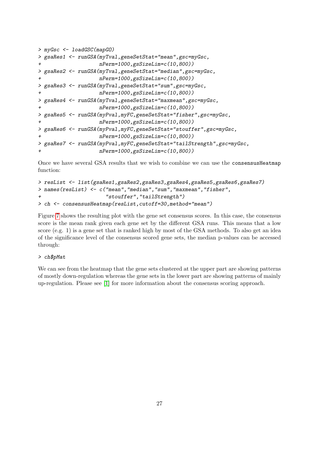```
> myGsc <- loadGSC(mapGO)
> gsaRes1 <- runGSA(myTval,geneSetStat="mean",gsc=myGsc,
+ nPerm=1000,gsSizeLim=c(10,800))
> gsaRes2 <- runGSA(myTval,geneSetStat="median",gsc=myGsc,
+ nPerm=1000,gsSizeLim=c(10,800))
> gsaRes3 <- runGSA(myTval,geneSetStat="sum",gsc=myGsc,
                  + nPerm=1000,gsSizeLim=c(10,800))
> gsaRes4 <- runGSA(myTval,geneSetStat="maxmean",gsc=myGsc,
                  + nPerm=1000,gsSizeLim=c(10,800))
> gsaRes5 <- runGSA(myPval,myFC,geneSetStat="fisher",gsc=myGsc,
+ nPerm=1000,gsSizeLim=c(10,800))
> gsaRes6 <- runGSA(myPval,myFC,geneSetStat="stouffer",gsc=myGsc,
                  nPerm=1000,gsSizeLim=c(10,800))
> gsaRes7 <- runGSA(myPval,myFC,geneSetStat="tailStrength",gsc=myGsc,
                  + nPerm=1000,gsSizeLim=c(10,800))
```
Once we have several GSA results that we wish to combine we can use the consensusHeatmap function:

```
> resList <- list(gsaRes1,gsaRes2,gsaRes3,gsaRes4,gsaRes5,gsaRes6,gsaRes7)
> names(resList) <- c("mean","median","sum","maxmean","fisher",
+ "stouffer","tailStrength")
> ch <- consensusHeatmap(resList,cutoff=30,method="mean")
```
Figure [7](#page-27-0) shows the resulting plot with the gene set consensus scores. In this case, the consensus score is the mean rank given each gene set by the different GSA runs. This means that a low score (e.g. 1) is a gene set that is ranked high by most of the GSA methods. To also get an idea of the significance level of the consensus scored gene sets, the median p-values can be accessed through:

### > ch\$pMat

We can see from the heatmap that the gene sets clustered at the upper part are showing patterns of mostly down-regulation whereas the gene sets in the lower part are showing patterns of mainly up-regulation. Please see [\[1\]](#page-28-0) for more information about the consensus scoring approach.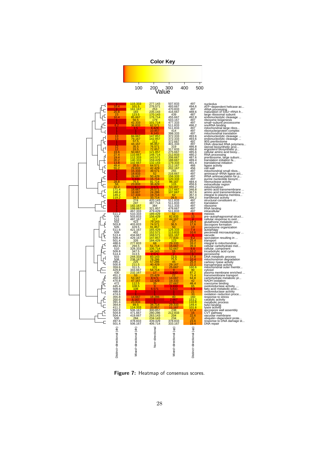<span id="page-27-0"></span>

Figure 7: Heatmap of consensus scores.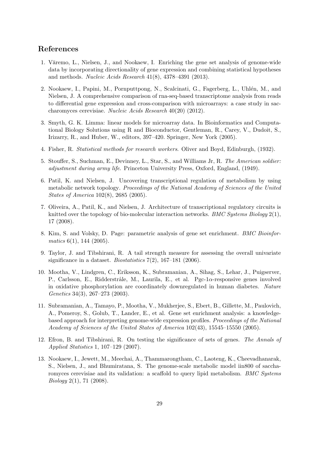# References

- <span id="page-28-0"></span>1. Väremo, L., Nielsen, J., and Nookaew, I. Enriching the gene set analysis of genome-wide data by incorporating directionality of gene expression and combining statistical hypotheses and methods. Nucleic Acids Research 41(8), 4378–4391 (2013).
- <span id="page-28-1"></span>2. Nookaew, I., Papini, M., Pornputtpong, N., Scalcinati, G., Fagerberg, L., Uhlén, M., and Nielsen, J. A comprehensive comparison of rna-seq-based transcriptome analysis from reads to differential gene expression and cross-comparison with microarrays: a case study in saccharomyces cerevisiae. Nucleic Acids Research 40(20) (2012).
- <span id="page-28-2"></span>3. Smyth, G. K. Limma: linear models for microarray data. In Bioinformatics and Computational Biology Solutions using R and Bioconductor, Gentleman, R., Carey, V., Dudoit, S., Irizarry, R., and Huber, W., editors, 397–420. Springer, New York (2005).
- <span id="page-28-3"></span>4. Fisher, R. Statistical methods for research workers. Oliver and Boyd, Edinburgh, (1932).
- <span id="page-28-4"></span>5. Stouffer, S., Suchman, E., Devinney, L., Star, S., and Williams Jr, R. The American soldier: adjustment during army life. Princeton University Press, Oxford, England, (1949).
- <span id="page-28-5"></span>6. Patil, K. and Nielsen, J. Uncovering transcriptional regulation of metabolism by using metabolic network topology. Proceedings of the National Academy of Sciences of the United States of America 102(8), 2685 (2005).
- <span id="page-28-6"></span>7. Oliveira, A., Patil, K., and Nielsen, J. Architecture of transcriptional regulatory circuits is knitted over the topology of bio-molecular interaction networks. *BMC Systems Biology*  $2(1)$ , 17 (2008).
- <span id="page-28-7"></span>8. Kim, S. and Volsky, D. Page: parametric analysis of gene set enrichment. BMC Bioinfor $matics 6(1), 144 (2005).$
- <span id="page-28-8"></span>9. Taylor, J. and Tibshirani, R. A tail strength measure for assessing the overall univariate significance in a dataset. *Biostatistics*  $7(2)$ ,  $167-181$  (2006).
- <span id="page-28-9"></span>10. Mootha, V., Lindgren, C., Eriksson, K., Subramanian, A., Sihag, S., Lehar, J., Puigserver, P., Carlsson, E., Ridderstråle, M., Laurila, E., et al. Pgc-1 $\alpha$ -responsive genes involved in oxidative phosphorylation are coordinately downregulated in human diabetes. Nature Genetics 34(3), 267–273 (2003).
- <span id="page-28-10"></span>11. Subramanian, A., Tamayo, P., Mootha, V., Mukherjee, S., Ebert, B., Gillette, M., Paulovich, A., Pomeroy, S., Golub, T., Lander, E., et al. Gene set enrichment analysis: a knowledgebased approach for interpreting genome-wide expression profiles. Proceedings of the National Academy of Sciences of the United States of America 102(43), 15545–15550 (2005).
- <span id="page-28-11"></span>12. Efron, B. and Tibshirani, R. On testing the significance of sets of genes. The Annals of Applied Statistics 1, 107–129 (2007).
- <span id="page-28-12"></span>13. Nookaew, I., Jewett, M., Meechai, A., Thammarongtham, C., Laoteng, K., Cheevadhanarak, S., Nielsen, J., and Bhumiratana, S. The genome-scale metabolic model iin800 of saccharomyces cerevisiae and its validation: a scaffold to query lipid metabolism. *BMC Systems*  $Biology 2(1), 71 (2008).$